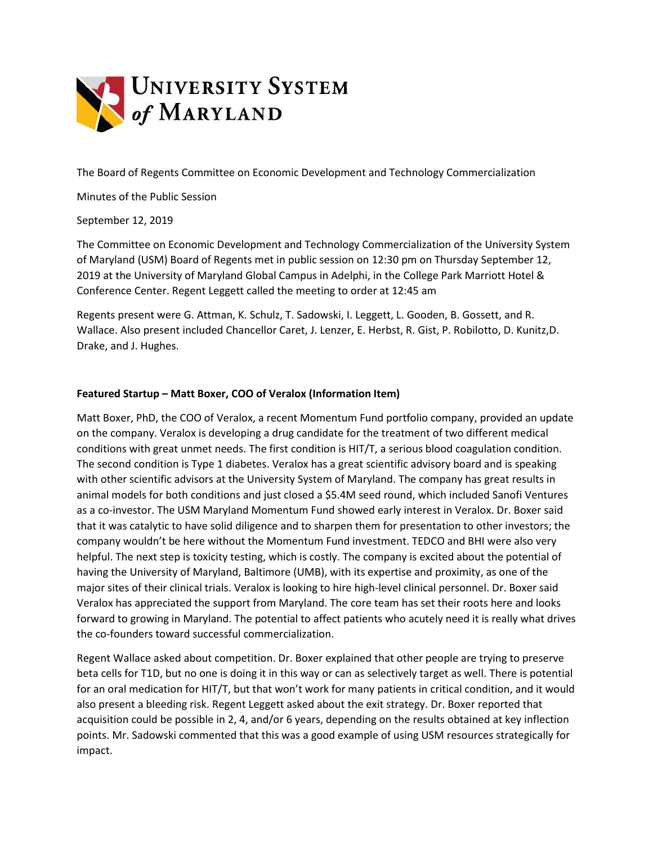

The Board of Regents Committee on Economic Development and Technology Commercialization

Minutes of the Public Session

September 12, 2019

The Committee on Economic Development and Technology Commercialization of the University System of Maryland (USM) Board of Regents met in public session on 12:30 pm on Thursday September 12, 2019 at the University of Maryland Global Campus in Adelphi, in the College Park Marriott Hotel & Conference Center. Regent Leggett called the meeting to order at 12:45 am

Regents present were G. Attman, K. Schulz, T. Sadowski, I. Leggett, L. Gooden, B. Gossett, and R. Wallace. Also present included Chancellor Caret, J. Lenzer, E. Herbst, R. Gist, P. Robilotto, D. Kunitz,D. Drake, and J. Hughes.

## **Featured Startup – Matt Boxer, COO of Veralox (Information Item)**

Matt Boxer, PhD, the COO of Veralox, a recent Momentum Fund portfolio company, provided an update on the company. Veralox is developing a drug candidate for the treatment of two different medical conditions with great unmet needs. The first condition is HIT/T, a serious blood coagulation condition. The second condition is Type 1 diabetes. Veralox has a great scientific advisory board and is speaking with other scientific advisors at the University System of Maryland. The company has great results in animal models for both conditions and just closed a \$5.4M seed round, which included Sanofi Ventures as a co-investor. The USM Maryland Momentum Fund showed early interest in Veralox. Dr. Boxer said that it was catalytic to have solid diligence and to sharpen them for presentation to other investors; the company wouldn't be here without the Momentum Fund investment. TEDCO and BHI were also very helpful. The next step is toxicity testing, which is costly. The company is excited about the potential of having the University of Maryland, Baltimore (UMB), with its expertise and proximity, as one of the major sites of their clinical trials. Veralox is looking to hire high-level clinical personnel. Dr. Boxer said Veralox has appreciated the support from Maryland. The core team has set their roots here and looks forward to growing in Maryland. The potential to affect patients who acutely need it is really what drives the co-founders toward successful commercialization.

Regent Wallace asked about competition. Dr. Boxer explained that other people are trying to preserve beta cells for T1D, but no one is doing it in this way or can as selectively target as well. There is potential for an oral medication for HIT/T, but that won't work for many patients in critical condition, and it would also present a bleeding risk. Regent Leggett asked about the exit strategy. Dr. Boxer reported that acquisition could be possible in 2, 4, and/or 6 years, depending on the results obtained at key inflection points. Mr. Sadowski commented that this was a good example of using USM resources strategically for impact.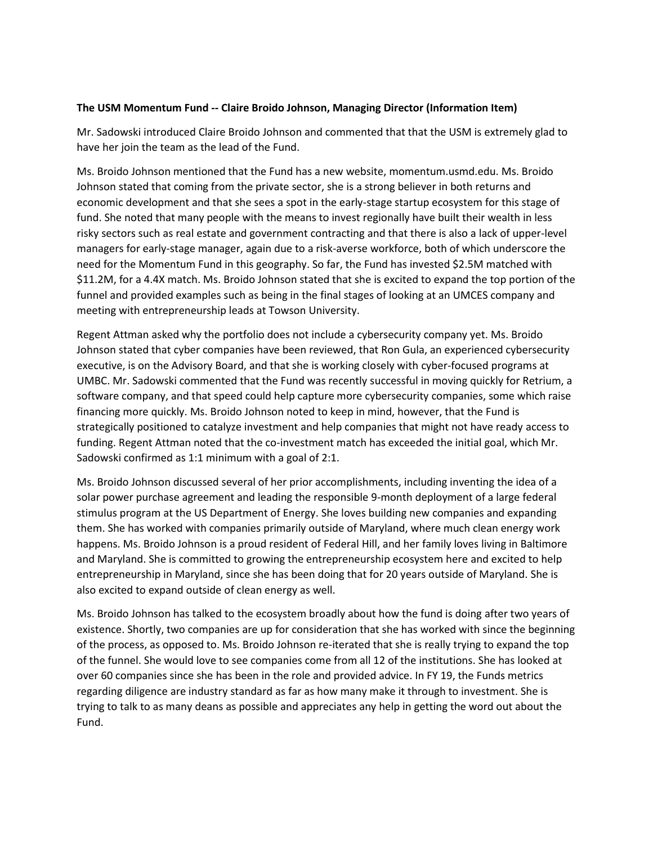## **The USM Momentum Fund -- Claire Broido Johnson, Managing Director (Information Item)**

Mr. Sadowski introduced Claire Broido Johnson and commented that that the USM is extremely glad to have her join the team as the lead of the Fund.

Ms. Broido Johnson mentioned that the Fund has a new website, momentum.usmd.edu. Ms. Broido Johnson stated that coming from the private sector, she is a strong believer in both returns and economic development and that she sees a spot in the early-stage startup ecosystem for this stage of fund. She noted that many people with the means to invest regionally have built their wealth in less risky sectors such as real estate and government contracting and that there is also a lack of upper-level managers for early-stage manager, again due to a risk-averse workforce, both of which underscore the need for the Momentum Fund in this geography. So far, the Fund has invested \$2.5M matched with \$11.2M, for a 4.4X match. Ms. Broido Johnson stated that she is excited to expand the top portion of the funnel and provided examples such as being in the final stages of looking at an UMCES company and meeting with entrepreneurship leads at Towson University.

Regent Attman asked why the portfolio does not include a cybersecurity company yet. Ms. Broido Johnson stated that cyber companies have been reviewed, that Ron Gula, an experienced cybersecurity executive, is on the Advisory Board, and that she is working closely with cyber-focused programs at UMBC. Mr. Sadowski commented that the Fund was recently successful in moving quickly for Retrium, a software company, and that speed could help capture more cybersecurity companies, some which raise financing more quickly. Ms. Broido Johnson noted to keep in mind, however, that the Fund is strategically positioned to catalyze investment and help companies that might not have ready access to funding. Regent Attman noted that the co-investment match has exceeded the initial goal, which Mr. Sadowski confirmed as 1:1 minimum with a goal of 2:1.

Ms. Broido Johnson discussed several of her prior accomplishments, including inventing the idea of a solar power purchase agreement and leading the responsible 9-month deployment of a large federal stimulus program at the US Department of Energy. She loves building new companies and expanding them. She has worked with companies primarily outside of Maryland, where much clean energy work happens. Ms. Broido Johnson is a proud resident of Federal Hill, and her family loves living in Baltimore and Maryland. She is committed to growing the entrepreneurship ecosystem here and excited to help entrepreneurship in Maryland, since she has been doing that for 20 years outside of Maryland. She is also excited to expand outside of clean energy as well.

Ms. Broido Johnson has talked to the ecosystem broadly about how the fund is doing after two years of existence. Shortly, two companies are up for consideration that she has worked with since the beginning of the process, as opposed to. Ms. Broido Johnson re-iterated that she is really trying to expand the top of the funnel. She would love to see companies come from all 12 of the institutions. She has looked at over 60 companies since she has been in the role and provided advice. In FY 19, the Funds metrics regarding diligence are industry standard as far as how many make it through to investment. She is trying to talk to as many deans as possible and appreciates any help in getting the word out about the Fund.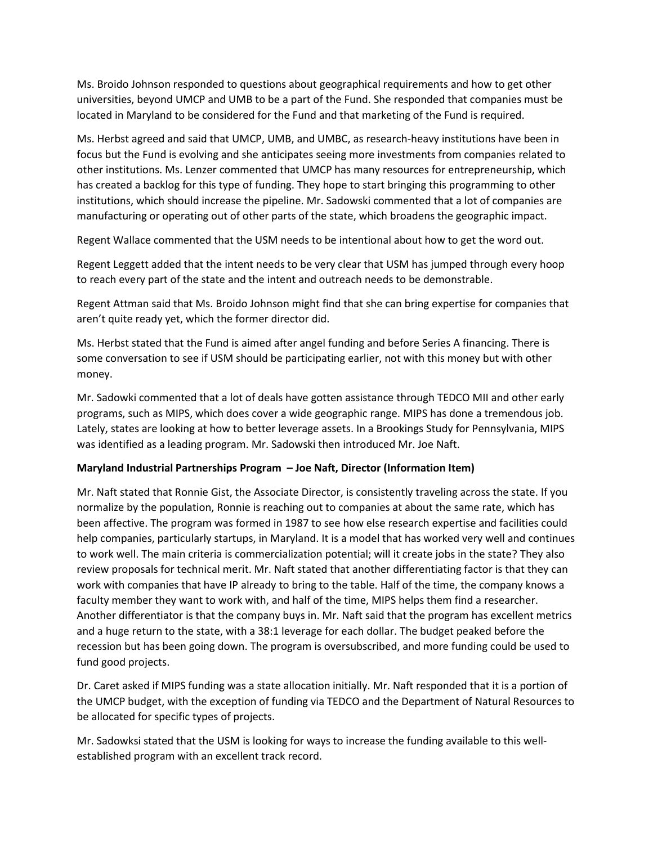Ms. Broido Johnson responded to questions about geographical requirements and how to get other universities, beyond UMCP and UMB to be a part of the Fund. She responded that companies must be located in Maryland to be considered for the Fund and that marketing of the Fund is required.

Ms. Herbst agreed and said that UMCP, UMB, and UMBC, as research-heavy institutions have been in focus but the Fund is evolving and she anticipates seeing more investments from companies related to other institutions. Ms. Lenzer commented that UMCP has many resources for entrepreneurship, which has created a backlog for this type of funding. They hope to start bringing this programming to other institutions, which should increase the pipeline. Mr. Sadowski commented that a lot of companies are manufacturing or operating out of other parts of the state, which broadens the geographic impact.

Regent Wallace commented that the USM needs to be intentional about how to get the word out.

Regent Leggett added that the intent needs to be very clear that USM has jumped through every hoop to reach every part of the state and the intent and outreach needs to be demonstrable.

Regent Attman said that Ms. Broido Johnson might find that she can bring expertise for companies that aren't quite ready yet, which the former director did.

Ms. Herbst stated that the Fund is aimed after angel funding and before Series A financing. There is some conversation to see if USM should be participating earlier, not with this money but with other money.

Mr. Sadowki commented that a lot of deals have gotten assistance through TEDCO MII and other early programs, such as MIPS, which does cover a wide geographic range. MIPS has done a tremendous job. Lately, states are looking at how to better leverage assets. In a Brookings Study for Pennsylvania, MIPS was identified as a leading program. Mr. Sadowski then introduced Mr. Joe Naft.

## **Maryland Industrial Partnerships Program – Joe Naft, Director (Information Item)**

Mr. Naft stated that Ronnie Gist, the Associate Director, is consistently traveling across the state. If you normalize by the population, Ronnie is reaching out to companies at about the same rate, which has been affective. The program was formed in 1987 to see how else research expertise and facilities could help companies, particularly startups, in Maryland. It is a model that has worked very well and continues to work well. The main criteria is commercialization potential; will it create jobs in the state? They also review proposals for technical merit. Mr. Naft stated that another differentiating factor is that they can work with companies that have IP already to bring to the table. Half of the time, the company knows a faculty member they want to work with, and half of the time, MIPS helps them find a researcher. Another differentiator is that the company buys in. Mr. Naft said that the program has excellent metrics and a huge return to the state, with a 38:1 leverage for each dollar. The budget peaked before the recession but has been going down. The program is oversubscribed, and more funding could be used to fund good projects.

Dr. Caret asked if MIPS funding was a state allocation initially. Mr. Naft responded that it is a portion of the UMCP budget, with the exception of funding via TEDCO and the Department of Natural Resources to be allocated for specific types of projects.

Mr. Sadowksi stated that the USM is looking for ways to increase the funding available to this wellestablished program with an excellent track record.